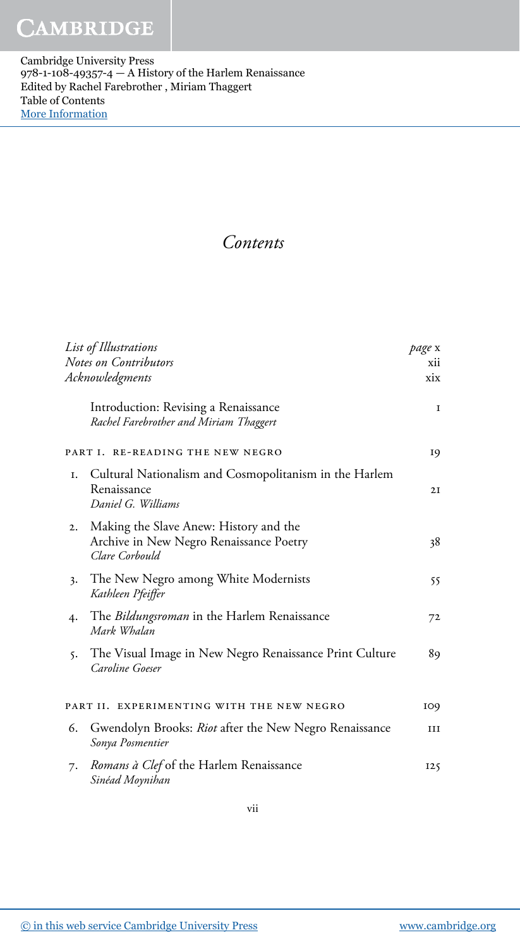Cambridge University Press 978-1-108-49357-4 — A History of the Harlem Renaissance Edited by Rachel Farebrother , Miriam Thaggert Table of Contents [More Information](www.cambridge.org/9781108493574)

## Contents

| List of Illustrations<br><b>Notes on Contributors</b><br>Acknowledgments |                                                                                                     | page x<br>xii<br>xix |
|--------------------------------------------------------------------------|-----------------------------------------------------------------------------------------------------|----------------------|
|                                                                          | Introduction: Revising a Renaissance<br>Rachel Farebrother and Miriam Thaggert                      | Ι.                   |
| PART I. RE-READING THE NEW NEGRO                                         |                                                                                                     | 19                   |
| Ι.                                                                       | Cultural Nationalism and Cosmopolitanism in the Harlem<br>Renaissance<br>Daniel G. Williams         | 2I                   |
| 2.                                                                       | Making the Slave Anew: History and the<br>Archive in New Negro Renaissance Poetry<br>Clare Corbould | 38                   |
| 3.                                                                       | The New Negro among White Modernists<br>Kathleen Pfeiffer                                           | 55                   |
| 4.                                                                       | The <i>Bildungsroman</i> in the Harlem Renaissance<br>Mark Whalan                                   | 72                   |
| 5.                                                                       | The Visual Image in New Negro Renaissance Print Culture<br>Caroline Goeser                          | 89                   |
|                                                                          | PART II. EXPERIMENTING WITH THE NEW NEGRO                                                           | 109                  |
| 6.                                                                       | Gwendolyn Brooks: Riot after the New Negro Renaissance<br>Sonya Posmentier                          | ш                    |
| 7.                                                                       | Romans à Clef of the Harlem Renaissance<br>Sinéad Moynihan                                          | 125                  |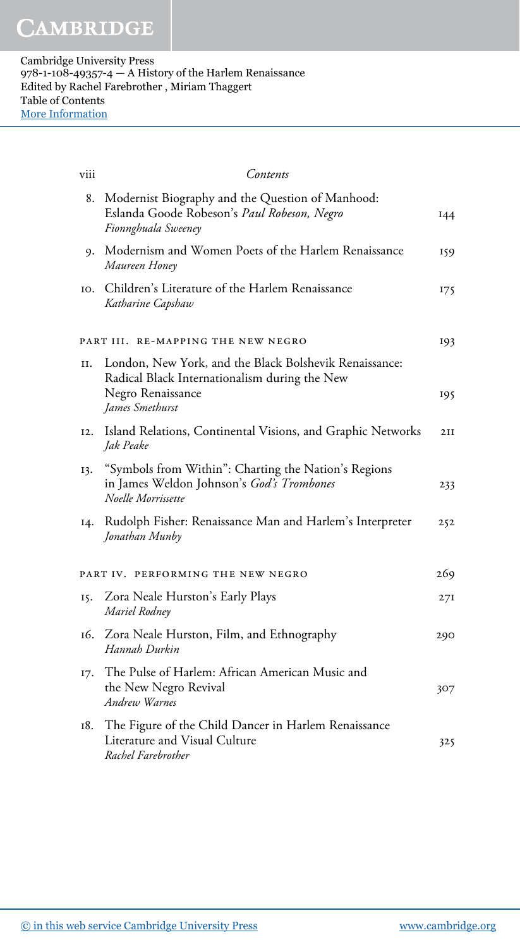| viii                                      | Contents                                                                                                                     |     |  |
|-------------------------------------------|------------------------------------------------------------------------------------------------------------------------------|-----|--|
| 8.                                        | Modernist Biography and the Question of Manhood:<br>Eslanda Goode Robeson's Paul Robeson, Negro<br>Fionnghuala Sweeney       | 144 |  |
| 9.                                        | Modernism and Women Poets of the Harlem Renaissance<br>Maureen Honey                                                         | 159 |  |
| IO.                                       | Children's Literature of the Harlem Renaissance<br>Katharine Capshaw                                                         | 175 |  |
| PART III. RE-MAPPING THE NEW NEGRO<br>193 |                                                                                                                              |     |  |
| II.                                       | London, New York, and the Black Bolshevik Renaissance:<br>Radical Black Internationalism during the New<br>Negro Renaissance | 195 |  |
|                                           | James Smethurst                                                                                                              |     |  |
| I <sub>2</sub> .                          | Island Relations, Continental Visions, and Graphic Networks<br>Jak Peake                                                     | 2II |  |
| 13.                                       | "Symbols from Within": Charting the Nation's Regions<br>in James Weldon Johnson's God's Trombones<br>Noelle Morrissette      | 233 |  |
| I4.                                       | Rudolph Fisher: Renaissance Man and Harlem's Interpreter<br>Jonathan Munby                                                   | 252 |  |
| 269<br>PART IV. PERFORMING THE NEW NEGRO  |                                                                                                                              |     |  |
| 15.                                       | Zora Neale Hurston's Early Plays<br>Mariel Rodney                                                                            | 27I |  |
| 16.                                       | Zora Neale Hurston, Film, and Ethnography<br>Hannah Durkin                                                                   | 290 |  |
| I7.                                       | The Pulse of Harlem: African American Music and<br>the New Negro Revival<br>Andrew Warnes                                    | 307 |  |
| 18.                                       | The Figure of the Child Dancer in Harlem Renaissance<br>Literature and Visual Culture<br>Rachel Farebrother                  | 325 |  |